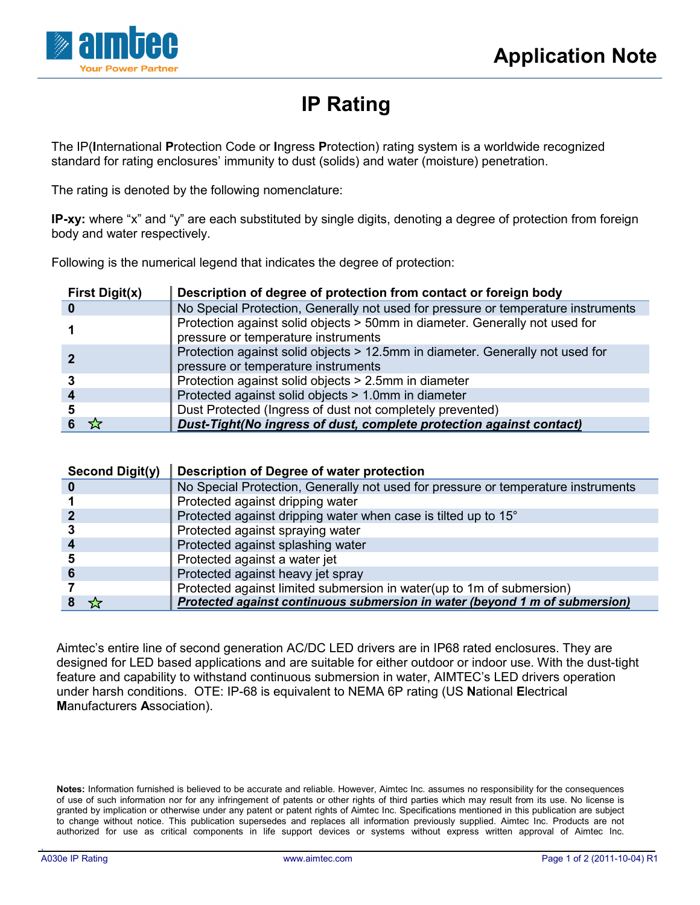

## **IP Rating**

The IP(**I**nternational **P**rotection Code or **I**ngress **P**rotection) rating system is a worldwide recognized standard for rating enclosures' immunity to dust (solids) and water (moisture) penetration.

The rating is denoted by the following nomenclature:

**IP-xy:** where "x" and "y" are each substituted by single digits, denoting a degree of protection from foreign body and water respectively.

Following is the numerical legend that indicates the degree of protection:

| <b>First Digit(x)</b> | Description of degree of protection from contact or foreign body                                                     |
|-----------------------|----------------------------------------------------------------------------------------------------------------------|
| 0                     | No Special Protection, Generally not used for pressure or temperature instruments                                    |
|                       | Protection against solid objects > 50mm in diameter. Generally not used for<br>pressure or temperature instruments   |
|                       | Protection against solid objects > 12.5mm in diameter. Generally not used for<br>pressure or temperature instruments |
|                       | Protection against solid objects > 2.5mm in diameter                                                                 |
|                       | Protected against solid objects > 1.0mm in diameter                                                                  |
| 5                     | Dust Protected (Ingress of dust not completely prevented)                                                            |
|                       | Dust-Tight(No ingress of dust, complete protection against contact)                                                  |

| <b>Second Digit(y)</b> | Description of Degree of water protection                                         |
|------------------------|-----------------------------------------------------------------------------------|
|                        | No Special Protection, Generally not used for pressure or temperature instruments |
|                        | Protected against dripping water                                                  |
|                        | Protected against dripping water when case is tilted up to 15°                    |
|                        | Protected against spraying water                                                  |
| 4                      | Protected against splashing water                                                 |
|                        | Protected against a water jet                                                     |
|                        | Protected against heavy jet spray                                                 |
|                        | Protected against limited submersion in water(up to 1m of submersion)             |
|                        | Protected against continuous submersion in water (beyond 1 m of submersion)       |

Aimtec's entire line of second generation AC/DC LED drivers are in IP68 rated enclosures. They are designed for LED based applications and are suitable for either outdoor or indoor use. With the dust-tight feature and capability to withstand continuous submersion in water, AIMTEC's LED drivers operation under harsh conditions. OTE: IP-68 is equivalent to NEMA 6P rating (US **N**ational **E**lectrical **M**anufacturers **A**ssociation).

**Notes:** Information furnished is believed to be accurate and reliable. However, Aimtec Inc. assumes no responsibility for the consequences of use of such information nor for any infringement of patents or other rights of third parties which may result from its use. No license is granted by implication or otherwise under any patent or patent rights of Aimtec Inc. Specifications mentioned in this publication are subject to change without notice. This publication supersedes and replaces all information previously supplied. Aimtec Inc. Products are not authorized for use as critical components in life support devices or systems without express written approval of Aimtec Inc.